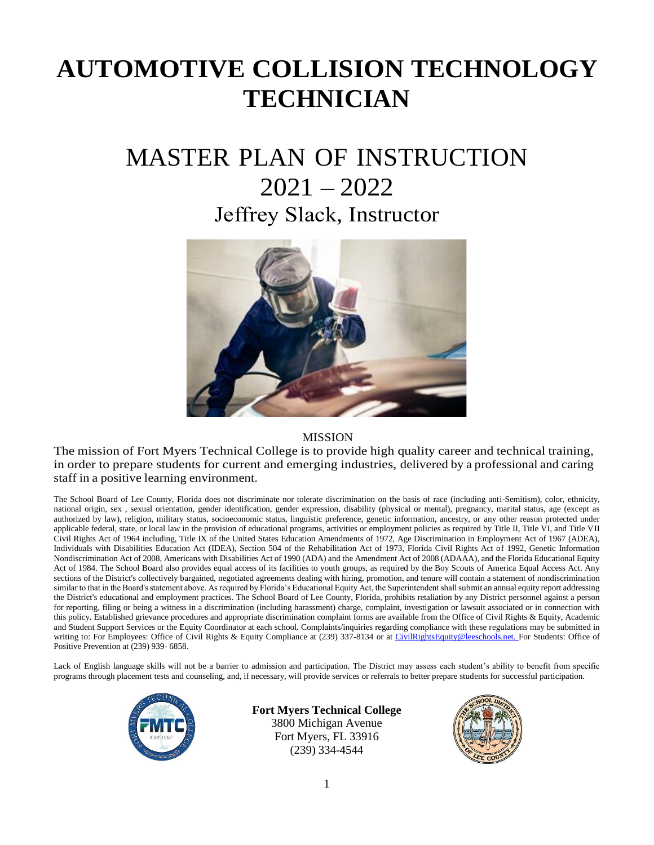# **AUTOMOTIVE COLLISION TECHNOLOGY TECHNICIAN**

## MASTER PLAN OF INSTRUCTION 2021 – 2022 Jeffrey Slack, Instructor



#### **MISSION**

The mission of Fort Myers Technical College is to provide high quality career and technical training, in order to prepare students for current and emerging industries, delivered by a professional and caring staff in a positive learning environment.

The School Board of Lee County, Florida does not discriminate nor tolerate discrimination on the basis of race (including anti-Semitism), color, ethnicity, national origin, sex , sexual orientation, gender identification, gender expression, disability (physical or mental), pregnancy, marital status, age (except as authorized by law), religion, military status, socioeconomic status, linguistic preference, genetic information, ancestry, or any other reason protected under applicable federal, state, or local law in the provision of educational programs, activities or employment policies as required by Title II, Title VI, and Title VII Civil Rights Act of 1964 including, Title IX of the United States Education Amendments of 1972, Age Discrimination in Employment Act of 1967 (ADEA), Individuals with Disabilities Education Act (IDEA), Section 504 of the Rehabilitation Act of 1973, Florida Civil Rights Act of 1992, Genetic Information Nondiscrimination Act of 2008, Americans with Disabilities Act of 1990 (ADA) and the Amendment Act of 2008 (ADAAA), and the Florida Educational Equity Act of 1984. The School Board also provides equal access of its facilities to youth groups, as required by the Boy Scouts of America Equal Access Act. Any sections of the District's collectively bargained, negotiated agreements dealing with hiring, promotion, and tenure will contain a statement of nondiscrimination similar to that in the Board's statement above. As required by Florida's Educational Equity Act, the Superintendent shall submit an annual equity report addressing the District's educational and employment practices. The School Board of Lee County, Florida, prohibits retaliation by any District personnel against a person for reporting, filing or being a witness in a discrimination (including harassment) charge, complaint, investigation or lawsuit associated or in connection with this policy. Established grievance procedures and appropriate discrimination complaint forms are available from the Office of Civil Rights & Equity, Academic and Student Support Services or the Equity Coordinator at each school. Complaints/inquiries regarding compliance with these regulations may be submitted in writing to: For Employees: Office of Civil Rights & Equity Compliance at (239) 337-8134 or at [CivilRightsEquity@leeschools.net. F](mailto:CivilRightsEquity@leeschools.net)or Students: Office of Positive Prevention at (239) 939- 6858.

Lack of English language skills will not be a barrier to admission and participation. The District may assess each student's ability to benefit from specific programs through placement tests and counseling, and, if necessary, will provide services or referrals to better prepare students for successful participation.



### **Fort Myers Technical College**

3800 Michigan Avenue Fort Myers, FL 33916 (239) 334-4544

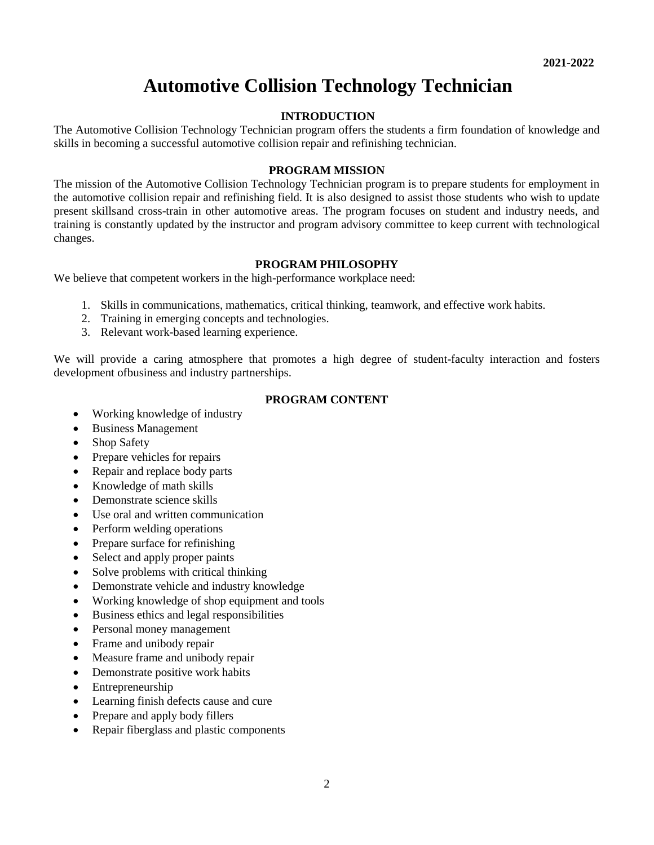### **Automotive Collision Technology Technician**

#### **INTRODUCTION**

The Automotive Collision Technology Technician program offers the students a firm foundation of knowledge and skills in becoming a successful automotive collision repair and refinishing technician.

#### **PROGRAM MISSION**

The mission of the Automotive Collision Technology Technician program is to prepare students for employment in the automotive collision repair and refinishing field. It is also designed to assist those students who wish to update present skillsand cross-train in other automotive areas. The program focuses on student and industry needs, and training is constantly updated by the instructor and program advisory committee to keep current with technological changes.

#### **PROGRAM PHILOSOPHY**

We believe that competent workers in the high-performance workplace need:

- 1. Skills in communications, mathematics, critical thinking, teamwork, and effective work habits.
- 2. Training in emerging concepts and technologies.
- 3. Relevant work-based learning experience.

We will provide a caring atmosphere that promotes a high degree of student-faculty interaction and fosters development ofbusiness and industry partnerships.

#### **PROGRAM CONTENT**

- Working knowledge of industry
- Business Management
- Shop Safety
- Prepare vehicles for repairs
- Repair and replace body parts
- Knowledge of math skills
- Demonstrate science skills
- Use oral and written communication
- Perform welding operations
- Prepare surface for refinishing
- Select and apply proper paints
- Solve problems with critical thinking
- Demonstrate vehicle and industry knowledge
- Working knowledge of shop equipment and tools
- Business ethics and legal responsibilities
- Personal money management
- Frame and unibody repair
- Measure frame and unibody repair
- Demonstrate positive work habits
- **Entrepreneurship**
- Learning finish defects cause and cure
- Prepare and apply body fillers
- Repair fiberglass and plastic components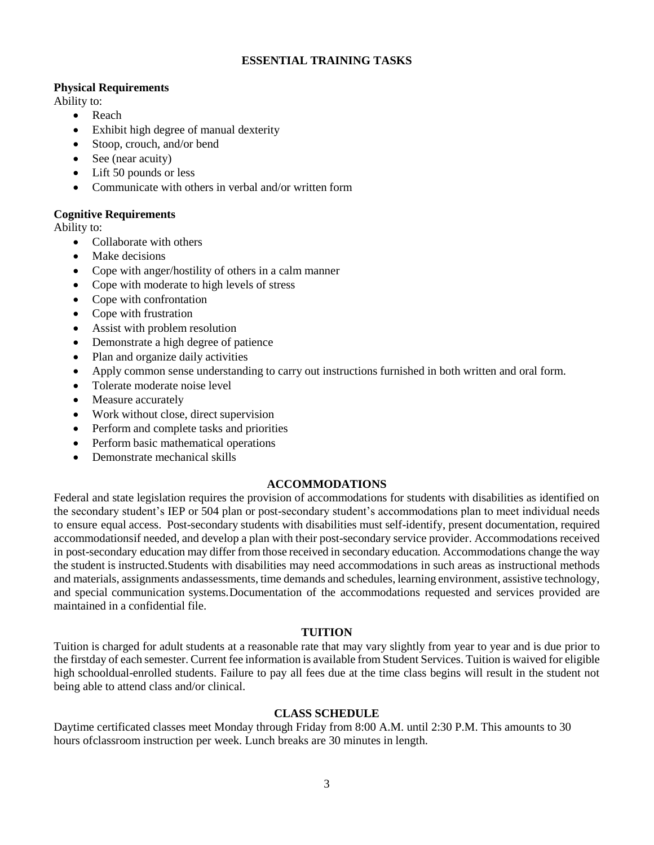#### **ESSENTIAL TRAINING TASKS**

#### **Physical Requirements**

Ability to:

- Reach
- Exhibit high degree of manual dexterity
- Stoop, crouch, and/or bend
- See (near acuity)
- Lift 50 pounds or less
- Communicate with others in verbal and/or written form

#### **Cognitive Requirements**

Ability to:

- Collaborate with others
- Make decisions
- Cope with anger/hostility of others in a calm manner
- Cope with moderate to high levels of stress
- Cope with confrontation
- Cope with frustration
- Assist with problem resolution
- Demonstrate a high degree of patience
- Plan and organize daily activities
- Apply common sense understanding to carry out instructions furnished in both written and oral form.
- Tolerate moderate noise level
- Measure accurately
- Work without close, direct supervision
- Perform and complete tasks and priorities
- Perform basic mathematical operations
- Demonstrate mechanical skills

#### **ACCOMMODATIONS**

Federal and state legislation requires the provision of accommodations for students with disabilities as identified on the secondary student's IEP or 504 plan or post-secondary student's accommodations plan to meet individual needs to ensure equal access. Post-secondary students with disabilities must self-identify, present documentation, required accommodationsif needed, and develop a plan with their post-secondary service provider. Accommodations received in post-secondary education may differ from those received in secondary education. Accommodations change the way the student is instructed.Students with disabilities may need accommodations in such areas as instructional methods and materials, assignments andassessments, time demands and schedules, learning environment, assistive technology, and special communication systems.Documentation of the accommodations requested and services provided are maintained in a confidential file.

#### **TUITION**

Tuition is charged for adult students at a reasonable rate that may vary slightly from year to year and is due prior to the firstday of each semester. Current fee information is available from Student Services. Tuition is waived for eligible high schooldual-enrolled students. Failure to pay all fees due at the time class begins will result in the student not being able to attend class and/or clinical.

#### **CLASS SCHEDULE**

Daytime certificated classes meet Monday through Friday from 8:00 A.M. until 2:30 P.M. This amounts to 30 hours ofclassroom instruction per week. Lunch breaks are 30 minutes in length.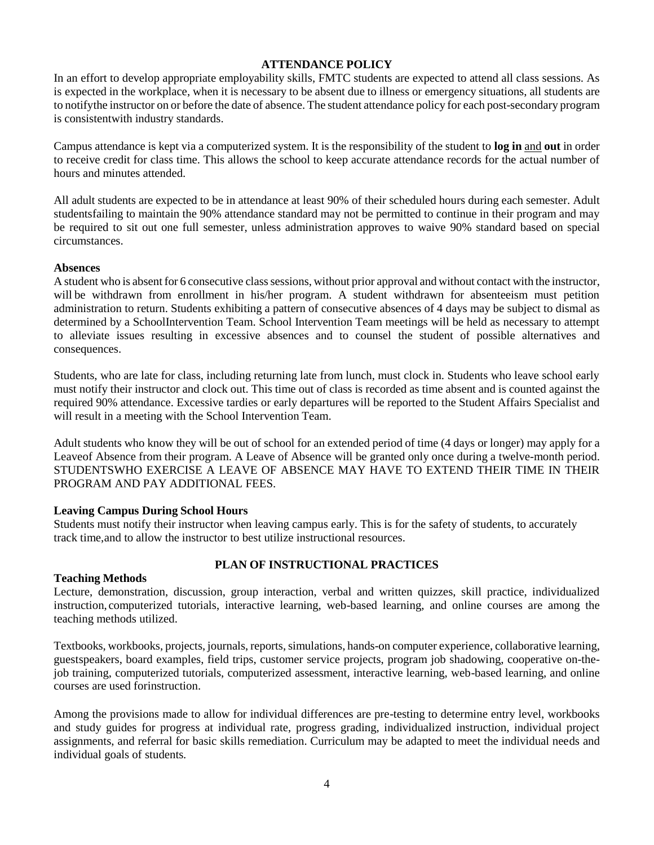#### **ATTENDANCE POLICY**

In an effort to develop appropriate employability skills, FMTC students are expected to attend all class sessions. As is expected in the workplace, when it is necessary to be absent due to illness or emergency situations, all students are to notifythe instructor on or before the date of absence. The student attendance policy for each post-secondary program is consistentwith industry standards.

Campus attendance is kept via a computerized system. It is the responsibility of the student to **log in** and **out** in order to receive credit for class time. This allows the school to keep accurate attendance records for the actual number of hours and minutes attended.

All adult students are expected to be in attendance at least 90% of their scheduled hours during each semester. Adult studentsfailing to maintain the 90% attendance standard may not be permitted to continue in their program and may be required to sit out one full semester, unless administration approves to waive 90% standard based on special circumstances.

#### **Absences**

A student who is absent for 6 consecutive class sessions, without prior approval and without contact with the instructor, will be withdrawn from enrollment in his/her program. A student withdrawn for absenteeism must petition administration to return. Students exhibiting a pattern of consecutive absences of 4 days may be subject to dismal as determined by a SchoolIntervention Team. School Intervention Team meetings will be held as necessary to attempt to alleviate issues resulting in excessive absences and to counsel the student of possible alternatives and consequences.

Students, who are late for class, including returning late from lunch, must clock in. Students who leave school early must notify their instructor and clock out. This time out of class is recorded as time absent and is counted against the required 90% attendance. Excessive tardies or early departures will be reported to the Student Affairs Specialist and will result in a meeting with the School Intervention Team.

Adult students who know they will be out of school for an extended period of time (4 days or longer) may apply for a Leaveof Absence from their program. A Leave of Absence will be granted only once during a twelve-month period. STUDENTSWHO EXERCISE A LEAVE OF ABSENCE MAY HAVE TO EXTEND THEIR TIME IN THEIR PROGRAM AND PAY ADDITIONAL FEES.

#### **Leaving Campus During School Hours**

Students must notify their instructor when leaving campus early. This is for the safety of students, to accurately track time,and to allow the instructor to best utilize instructional resources.

#### **PLAN OF INSTRUCTIONAL PRACTICES**

#### **Teaching Methods**

Lecture, demonstration, discussion, group interaction, verbal and written quizzes, skill practice, individualized instruction, computerized tutorials, interactive learning, web-based learning, and online courses are among the teaching methods utilized.

Textbooks, workbooks, projects, journals, reports, simulations, hands-on computer experience, collaborative learning, guestspeakers, board examples, field trips, customer service projects, program job shadowing, cooperative on-thejob training, computerized tutorials, computerized assessment, interactive learning, web-based learning, and online courses are used forinstruction.

Among the provisions made to allow for individual differences are pre-testing to determine entry level, workbooks and study guides for progress at individual rate, progress grading, individualized instruction, individual project assignments, and referral for basic skills remediation. Curriculum may be adapted to meet the individual needs and individual goals of students.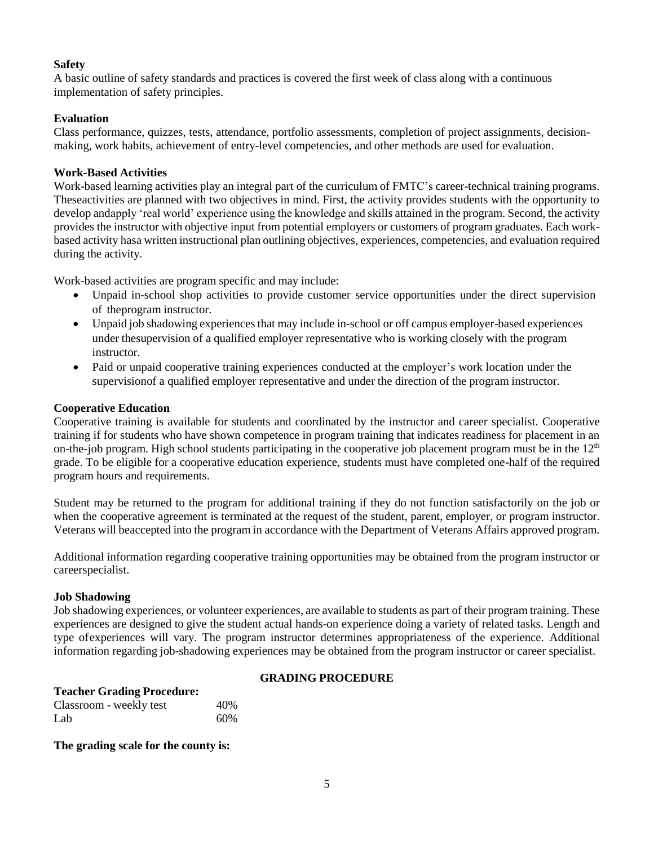#### **Safety**

A basic outline of safety standards and practices is covered the first week of class along with a continuous implementation of safety principles.

#### **Evaluation**

Class performance, quizzes, tests, attendance, portfolio assessments, completion of project assignments, decisionmaking, work habits, achievement of entry-level competencies, and other methods are used for evaluation.

#### **Work-Based Activities**

Work-based learning activities play an integral part of the curriculum of FMTC's career-technical training programs. Theseactivities are planned with two objectives in mind. First, the activity provides students with the opportunity to develop andapply 'real world' experience using the knowledge and skills attained in the program. Second, the activity provides the instructor with objective input from potential employers or customers of program graduates. Each workbased activity hasa written instructional plan outlining objectives, experiences, competencies, and evaluation required during the activity.

Work-based activities are program specific and may include:

- Unpaid in-school shop activities to provide customer service opportunities under the direct supervision of theprogram instructor.
- Unpaid job shadowing experiences that may include in-school or off campus employer-based experiences under thesupervision of a qualified employer representative who is working closely with the program instructor.
- Paid or unpaid cooperative training experiences conducted at the employer's work location under the supervisionof a qualified employer representative and under the direction of the program instructor.

#### **Cooperative Education**

Cooperative training is available for students and coordinated by the instructor and career specialist. Cooperative training if for students who have shown competence in program training that indicates readiness for placement in an on-the-job program. High school students participating in the cooperative job placement program must be in the  $12<sup>th</sup>$ grade. To be eligible for a cooperative education experience, students must have completed one-half of the required program hours and requirements.

Student may be returned to the program for additional training if they do not function satisfactorily on the job or when the cooperative agreement is terminated at the request of the student, parent, employer, or program instructor. Veterans will beaccepted into the program in accordance with the Department of Veterans Affairs approved program.

Additional information regarding cooperative training opportunities may be obtained from the program instructor or careerspecialist.

#### **Job Shadowing**

Job shadowing experiences, or volunteer experiences, are available to students as part of their program training. These experiences are designed to give the student actual hands-on experience doing a variety of related tasks. Length and type ofexperiences will vary. The program instructor determines appropriateness of the experience. Additional information regarding job-shadowing experiences may be obtained from the program instructor or career specialist.

#### **Teacher Grading Procedure:**

#### **GRADING PROCEDURE**

| reacher organized receiver. |     |
|-----------------------------|-----|
| Classroom - weekly test     | 40% |
| Lab                         | 60% |

**The grading scale for the county is:**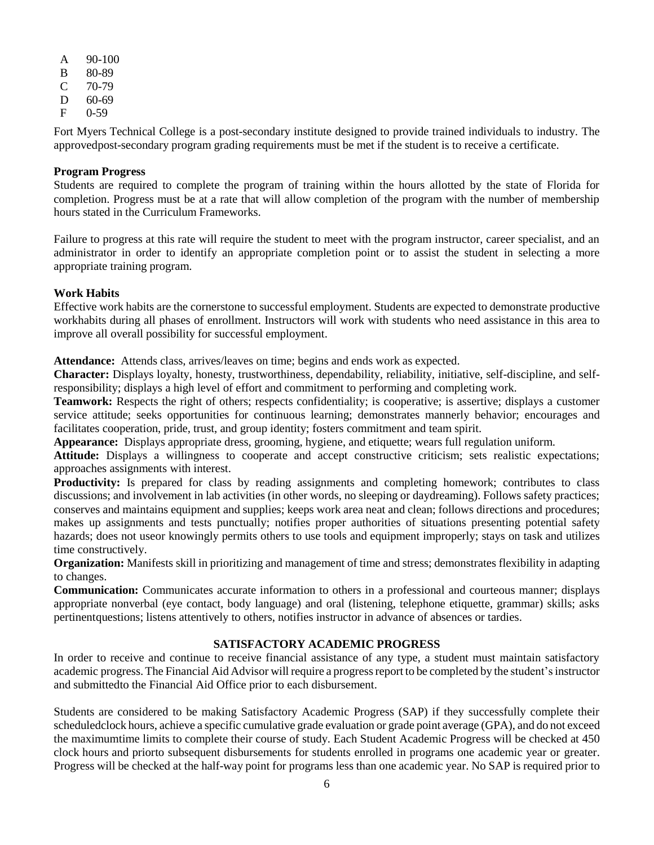- A 90-100
- B 80-89
- $C$  70-79 D 60-69
- F 0-59

Fort Myers Technical College is a post-secondary institute designed to provide trained individuals to industry. The approvedpost-secondary program grading requirements must be met if the student is to receive a certificate.

#### **Program Progress**

Students are required to complete the program of training within the hours allotted by the state of Florida for completion. Progress must be at a rate that will allow completion of the program with the number of membership hours stated in the Curriculum Frameworks.

Failure to progress at this rate will require the student to meet with the program instructor, career specialist, and an administrator in order to identify an appropriate completion point or to assist the student in selecting a more appropriate training program.

#### **Work Habits**

Effective work habits are the cornerstone to successful employment. Students are expected to demonstrate productive workhabits during all phases of enrollment. Instructors will work with students who need assistance in this area to improve all overall possibility for successful employment.

**Attendance:** Attends class, arrives/leaves on time; begins and ends work as expected.

**Character:** Displays loyalty, honesty, trustworthiness, dependability, reliability, initiative, self-discipline, and selfresponsibility; displays a high level of effort and commitment to performing and completing work.

**Teamwork:** Respects the right of others; respects confidentiality; is cooperative; is assertive; displays a customer service attitude; seeks opportunities for continuous learning; demonstrates mannerly behavior; encourages and facilitates cooperation, pride, trust, and group identity; fosters commitment and team spirit.

**Appearance:** Displays appropriate dress, grooming, hygiene, and etiquette; wears full regulation uniform.

**Attitude:** Displays a willingness to cooperate and accept constructive criticism; sets realistic expectations; approaches assignments with interest.

**Productivity:** Is prepared for class by reading assignments and completing homework; contributes to class discussions; and involvement in lab activities (in other words, no sleeping or daydreaming). Follows safety practices; conserves and maintains equipment and supplies; keeps work area neat and clean; follows directions and procedures; makes up assignments and tests punctually; notifies proper authorities of situations presenting potential safety hazards; does not useor knowingly permits others to use tools and equipment improperly; stays on task and utilizes time constructively.

**Organization:** Manifests skill in prioritizing and management of time and stress; demonstrates flexibility in adapting to changes.

**Communication:** Communicates accurate information to others in a professional and courteous manner; displays appropriate nonverbal (eye contact, body language) and oral (listening, telephone etiquette, grammar) skills; asks pertinentquestions; listens attentively to others, notifies instructor in advance of absences or tardies.

#### **SATISFACTORY ACADEMIC PROGRESS**

In order to receive and continue to receive financial assistance of any type, a student must maintain satisfactory academic progress. The Financial Aid Advisor will require a progress report to be completed by the student's instructor and submittedto the Financial Aid Office prior to each disbursement.

Students are considered to be making Satisfactory Academic Progress (SAP) if they successfully complete their scheduledclock hours, achieve a specific cumulative grade evaluation or grade point average (GPA), and do not exceed the maximumtime limits to complete their course of study. Each Student Academic Progress will be checked at 450 clock hours and priorto subsequent disbursements for students enrolled in programs one academic year or greater. Progress will be checked at the half-way point for programs less than one academic year. No SAP is required prior to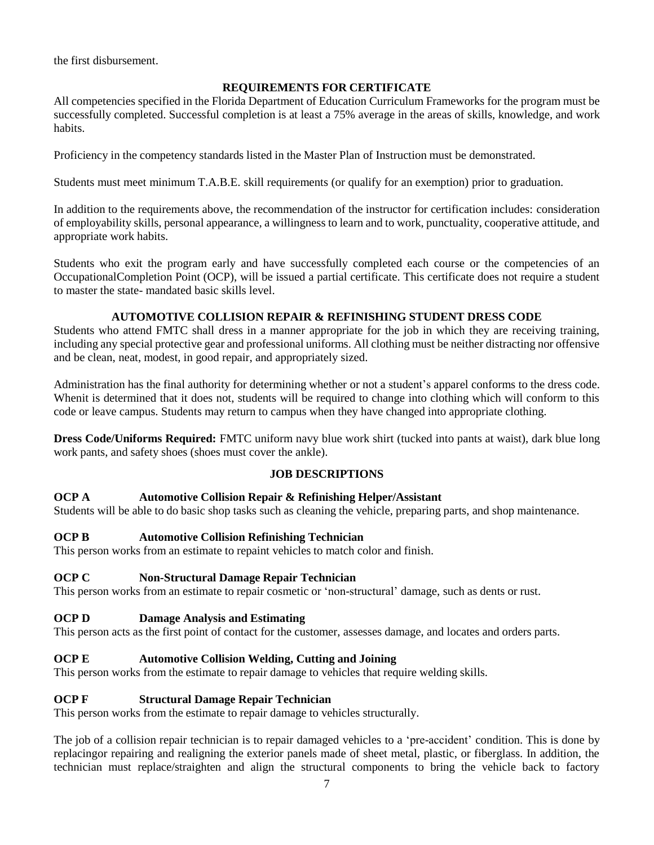the first disbursement.

#### **REQUIREMENTS FOR CERTIFICATE**

All competencies specified in the Florida Department of Education Curriculum Frameworks for the program must be successfully completed. Successful completion is at least a 75% average in the areas of skills, knowledge, and work habits.

Proficiency in the competency standards listed in the Master Plan of Instruction must be demonstrated.

Students must meet minimum T.A.B.E. skill requirements (or qualify for an exemption) prior to graduation.

In addition to the requirements above, the recommendation of the instructor for certification includes: consideration of employability skills, personal appearance, a willingness to learn and to work, punctuality, cooperative attitude, and appropriate work habits.

Students who exit the program early and have successfully completed each course or the competencies of an OccupationalCompletion Point (OCP), will be issued a partial certificate. This certificate does not require a student to master the state- mandated basic skills level.

#### **AUTOMOTIVE COLLISION REPAIR & REFINISHING STUDENT DRESS CODE**

Students who attend FMTC shall dress in a manner appropriate for the job in which they are receiving training, including any special protective gear and professional uniforms. All clothing must be neither distracting nor offensive and be clean, neat, modest, in good repair, and appropriately sized.

Administration has the final authority for determining whether or not a student's apparel conforms to the dress code. Whenit is determined that it does not, students will be required to change into clothing which will conform to this code or leave campus. Students may return to campus when they have changed into appropriate clothing.

**Dress Code/Uniforms Required:** FMTC uniform navy blue work shirt (tucked into pants at waist), dark blue long work pants, and safety shoes (shoes must cover the ankle).

#### **JOB DESCRIPTIONS**

#### **OCP A Automotive Collision Repair & Refinishing Helper/Assistant**

Students will be able to do basic shop tasks such as cleaning the vehicle, preparing parts, and shop maintenance.

#### **OCP B Automotive Collision Refinishing Technician**

This person works from an estimate to repaint vehicles to match color and finish.

#### **OCP C Non-Structural Damage Repair Technician**

This person works from an estimate to repair cosmetic or 'non-structural' damage, such as dents or rust.

#### **OCP D Damage Analysis and Estimating**

This person acts as the first point of contact for the customer, assesses damage, and locates and orders parts.

#### **OCP E Automotive Collision Welding, Cutting and Joining**

This person works from the estimate to repair damage to vehicles that require welding skills.

#### **OCP F Structural Damage Repair Technician**

This person works from the estimate to repair damage to vehicles structurally.

The job of a collision repair technician is to repair damaged vehicles to a 'pre-accident' condition. This is done by replacingor repairing and realigning the exterior panels made of sheet metal, plastic, or fiberglass. In addition, the technician must replace/straighten and align the structural components to bring the vehicle back to factory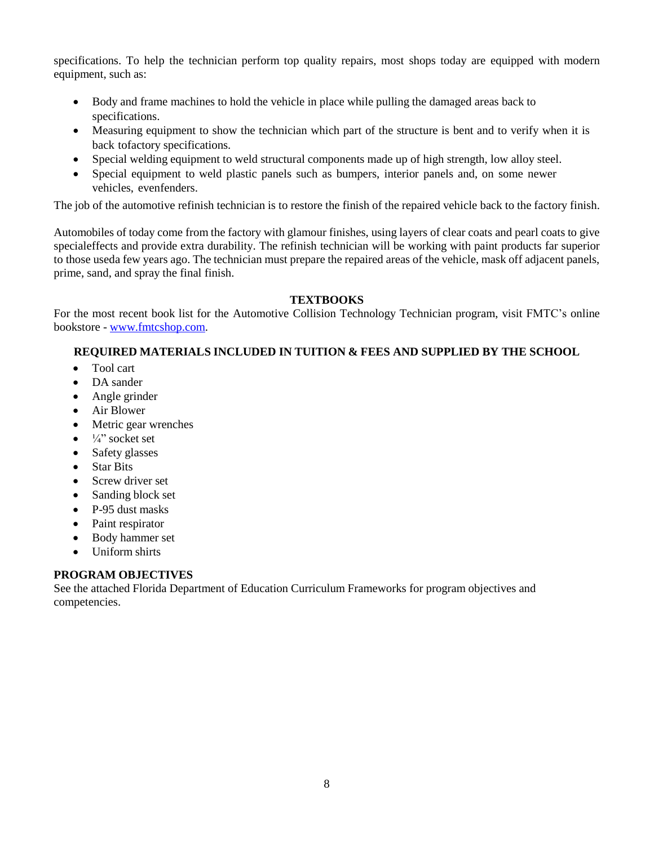specifications. To help the technician perform top quality repairs, most shops today are equipped with modern equipment, such as:

- Body and frame machines to hold the vehicle in place while pulling the damaged areas back to specifications.
- Measuring equipment to show the technician which part of the structure is bent and to verify when it is back tofactory specifications.
- Special welding equipment to weld structural components made up of high strength, low alloy steel.
- Special equipment to weld plastic panels such as bumpers, interior panels and, on some newer vehicles, evenfenders.

The job of the automotive refinish technician is to restore the finish of the repaired vehicle back to the factory finish.

Automobiles of today come from the factory with glamour finishes, using layers of clear coats and pearl coats to give specialeffects and provide extra durability. The refinish technician will be working with paint products far superior to those useda few years ago. The technician must prepare the repaired areas of the vehicle, mask off adjacent panels, prime, sand, and spray the final finish.

#### **TEXTBOOKS**

For the most recent book list for the Automotive Collision Technology Technician program, visit FMTC's online bookstore - [www.fmtcshop.com.](http://www.fmtcshop.com/)

#### **REQUIRED MATERIALS INCLUDED IN TUITION & FEES AND SUPPLIED BY THE SCHOOL**

- Tool cart
- DA sander
- Angle grinder
- Air Blower
- Metric gear wrenches
- $\frac{1}{4}$ <sup>3</sup> socket set
- Safety glasses
- Star Bits
- Screw driver set
- Sanding block set
- P-95 dust masks
- Paint respirator
- Body hammer set
- Uniform shirts

#### **PROGRAM OBJECTIVES**

See the attached Florida Department of Education Curriculum Frameworks for program objectives and competencies.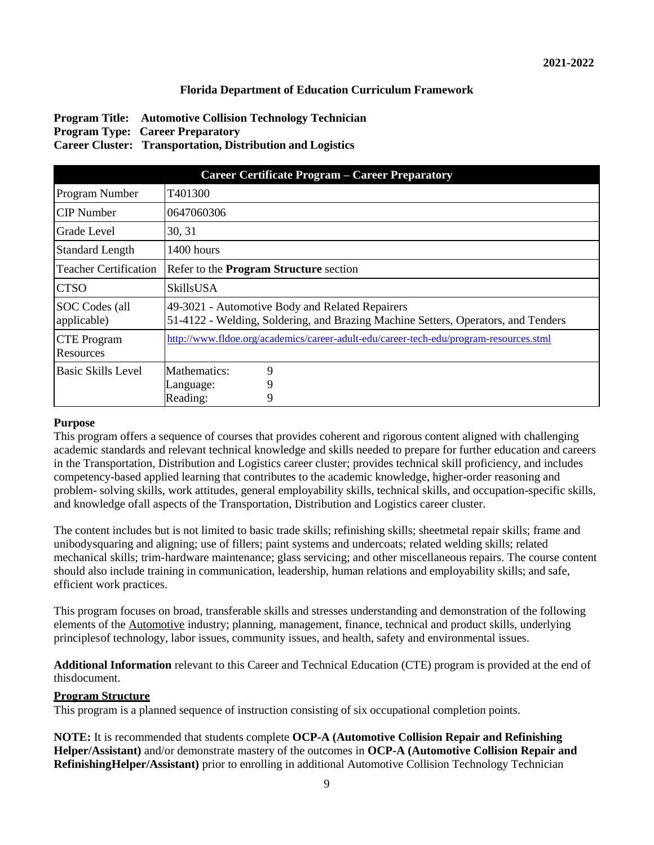#### **Florida Department of Education Curriculum Framework**

#### **Program Title: Automotive Collision Technology Technician Program Type: Career Preparatory Career Cluster: Transportation, Distribution and Logistics**

| <b>Career Certificate Program - Career Preparatory</b> |                                                                                                                                      |  |  |  |  |  |
|--------------------------------------------------------|--------------------------------------------------------------------------------------------------------------------------------------|--|--|--|--|--|
| Program Number                                         | T401300                                                                                                                              |  |  |  |  |  |
| <b>CIP</b> Number                                      | 0647060306                                                                                                                           |  |  |  |  |  |
| Grade Level                                            | 30, 31                                                                                                                               |  |  |  |  |  |
| <b>Standard Length</b>                                 | $1400$ hours                                                                                                                         |  |  |  |  |  |
| <b>Teacher Certification</b>                           | Refer to the <b>Program Structure</b> section                                                                                        |  |  |  |  |  |
| <b>CTSO</b>                                            | <b>SkillsUSA</b>                                                                                                                     |  |  |  |  |  |
| SOC Codes (all<br>applicable)                          | 49-3021 - Automotive Body and Related Repairers<br>51-4122 - Welding, Soldering, and Brazing Machine Setters, Operators, and Tenders |  |  |  |  |  |
| <b>CTE</b> Program<br>Resources                        | http://www.fldoe.org/academics/career-adult-edu/career-tech-edu/program-resources.stml                                               |  |  |  |  |  |
| Basic Skills Level                                     | Mathematics:<br>9                                                                                                                    |  |  |  |  |  |
|                                                        | 9<br>Language:                                                                                                                       |  |  |  |  |  |
|                                                        | Reading:<br>9                                                                                                                        |  |  |  |  |  |

#### **Purpose**

This program offers a sequence of courses that provides coherent and rigorous content aligned with challenging academic standards and relevant technical knowledge and skills needed to prepare for further education and careers in the Transportation, Distribution and Logistics career cluster; provides technical skill proficiency, and includes competency-based applied learning that contributes to the academic knowledge, higher-order reasoning and problem- solving skills, work attitudes, general employability skills, technical skills, and occupation-specific skills, and knowledge ofall aspects of the Transportation, Distribution and Logistics career cluster.

The content includes but is not limited to basic trade skills; refinishing skills; sheetmetal repair skills; frame and unibodysquaring and aligning; use of fillers; paint systems and undercoats; related welding skills; related mechanical skills; trim-hardware maintenance; glass servicing; and other miscellaneous repairs. The course content should also include training in communication, leadership, human relations and employability skills; and safe, efficient work practices.

This program focuses on broad, transferable skills and stresses understanding and demonstration of the following elements of the Automotive industry; planning, management, finance, technical and product skills, underlying principlesof technology, labor issues, community issues, and health, safety and environmental issues.

**Additional Information** relevant to this Career and Technical Education (CTE) program is provided at the end of thisdocument.

#### **Program Structure**

This program is a planned sequence of instruction consisting of six occupational completion points.

**NOTE:** It is recommended that students complete **OCP-A (Automotive Collision Repair and Refinishing Helper/Assistant)** and/or demonstrate mastery of the outcomes in **OCP-A (Automotive Collision Repair and RefinishingHelper/Assistant)** prior to enrolling in additional Automotive Collision Technology Technician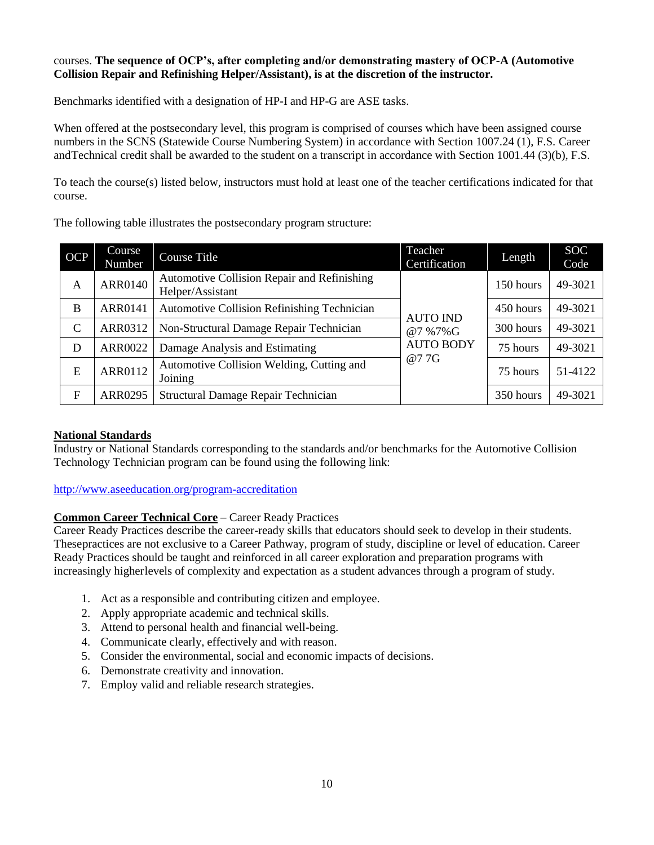#### courses. **The sequence of OCP's, after completing and/or demonstrating mastery of OCP-A (Automotive Collision Repair and Refinishing Helper/Assistant), is at the discretion of the instructor.**

Benchmarks identified with a designation of HP-I and HP-G are ASE tasks.

When offered at the postsecondary level, this program is comprised of courses which have been assigned course numbers in the SCNS (Statewide Course Numbering System) in accordance with Section 1007.24 (1), F.S. Career andTechnical credit shall be awarded to the student on a transcript in accordance with Section 1001.44 (3)(b), F.S.

To teach the course(s) listed below, instructors must hold at least one of the teacher certifications indicated for that course.

The following table illustrates the postsecondary program structure:

| <b>OCP</b>    | Course<br>Number | <b>Course Title</b>                                             | Teacher<br>Certification                              | Length    | <b>SOC</b><br>Code |
|---------------|------------------|-----------------------------------------------------------------|-------------------------------------------------------|-----------|--------------------|
| A             | <b>ARR0140</b>   | Automotive Collision Repair and Refinishing<br>Helper/Assistant | <b>AUTO IND</b><br>@7%7%G<br><b>AUTO BODY</b><br>@77G | 150 hours | 49-3021            |
| B             | <b>ARR0141</b>   | <b>Automotive Collision Refinishing Technician</b>              |                                                       | 450 hours | 49-3021            |
| $\mathcal{C}$ | ARR0312          | Non-Structural Damage Repair Technician                         |                                                       | 300 hours | 49-3021            |
| D             | <b>ARR0022</b>   | Damage Analysis and Estimating                                  |                                                       | 75 hours  | 49-3021            |
| E             | ARR0112          | Automotive Collision Welding, Cutting and<br>Joining            |                                                       | 75 hours  | 51-4122            |
| $\mathbf F$   | <b>ARR0295</b>   | Structural Damage Repair Technician                             |                                                       | 350 hours | 49-3021            |

#### **National Standards**

Industry or National Standards corresponding to the standards and/or benchmarks for the Automotive Collision Technology Technician program can be found using the following link:

[http://www.aseeducation.org/program-accreditation](http://www.natef.org/Achieving-Accreditation/Program-Standards.aspx)

#### **Common Career Technical Core** – Career Ready Practices

Career Ready Practices describe the career-ready skills that educators should seek to develop in their students. Thesepractices are not exclusive to a Career Pathway, program of study, discipline or level of education. Career Ready Practices should be taught and reinforced in all career exploration and preparation programs with increasingly higherlevels of complexity and expectation as a student advances through a program of study.

- 1. Act as a responsible and contributing citizen and employee.
- 2. Apply appropriate academic and technical skills.
- 3. Attend to personal health and financial well-being.
- 4. Communicate clearly, effectively and with reason.
- 5. Consider the environmental, social and economic impacts of decisions.
- 6. Demonstrate creativity and innovation.
- 7. Employ valid and reliable research strategies.